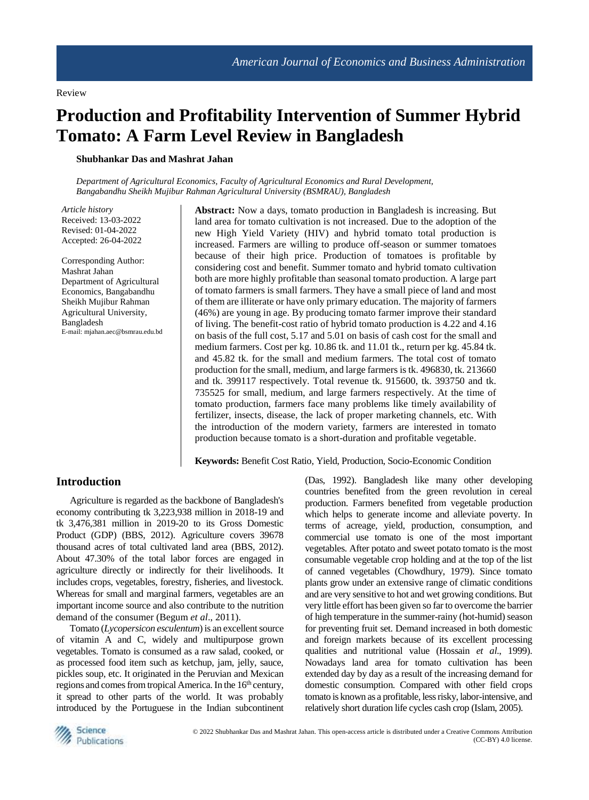# **Production and Profitability Intervention of Summer Hybrid Tomato: A Farm Level Review in Bangladesh**

#### **Shubhankar Das and Mashrat Jahan**

*Department of Agricultural Economics, Faculty of Agricultural Economics and Rural Development, Bangabandhu Sheikh Mujibur Rahman Agricultural University (BSMRAU), Bangladesh*

*Article history* Received: 13-03-2022 Revised: 01-04-2022 Accepted: 26-04-2022

Corresponding Author: Mashrat Jahan Department of Agricultural Economics, Bangabandhu Sheikh Mujibur Rahman Agricultural University, Bangladesh E-mail: mjahan.aec@bsmrau.edu.bd **Abstract:** Now a days, tomato production in Bangladesh is increasing. But land area for tomato cultivation is not increased. Due to the adoption of the new High Yield Variety (HIV) and hybrid tomato total production is increased. Farmers are willing to produce off-season or summer tomatoes because of their high price. Production of tomatoes is profitable by considering cost and benefit. Summer tomato and hybrid tomato cultivation both are more highly profitable than seasonal tomato production. A large part of tomato farmers is small farmers. They have a small piece of land and most of them are illiterate or have only primary education. The majority of farmers (46%) are young in age. By producing tomato farmer improve their standard of living. The benefit-cost ratio of hybrid tomato production is 4.22 and 4.16 on basis of the full cost, 5.17 and 5.01 on basis of cash cost for the small and medium farmers. Cost per kg. 10.86 tk. and 11.01 tk., return per kg. 45.84 tk. and 45.82 tk. for the small and medium farmers. The total cost of tomato production for the small, medium, and large farmers is tk. 496830, tk. 213660 and tk. 399117 respectively. Total revenue tk. 915600, tk. 393750 and tk. 735525 for small, medium, and large farmers respectively. At the time of tomato production, farmers face many problems like timely availability of fertilizer, insects, disease, the lack of proper marketing channels, etc. With the introduction of the modern variety, farmers are interested in tomato production because tomato is a short-duration and profitable vegetable.

**Keywords:** Benefit Cost Ratio, Yield, Production, Socio-Economic Condition

# **Introduction**

Agriculture is regarded as the backbone of Bangladesh's economy contributing tk 3,223,938 million in 2018-19 and tk 3,476,381 million in 2019-20 to its Gross Domestic Product (GDP) (BBS, 2012). Agriculture covers 39678 thousand acres of total cultivated land area (BBS, 2012). About 47.30% of the total labor forces are engaged in agriculture directly or indirectly for their livelihoods. It includes crops, vegetables, forestry, fisheries, and livestock. Whereas for small and marginal farmers, vegetables are an important income source and also contribute to the nutrition demand of the consumer (Begum *et al*., 2011).

Tomato (*Lycopersicon esculentum*) is an excellent source of vitamin A and C, widely and multipurpose grown vegetables. Tomato is consumed as a raw salad, cooked, or as processed food item such as ketchup, jam, jelly, sauce, pickles soup, etc. It originated in the Peruvian and Mexican regions and comes from tropical America. In the 16<sup>th</sup> century, it spread to other parts of the world. It was probably introduced by the Portuguese in the Indian subcontinent (Das, 1992). Bangladesh like many other developing countries benefited from the green revolution in cereal production. Farmers benefited from vegetable production which helps to generate income and alleviate poverty. In terms of acreage, yield, production, consumption, and commercial use tomato is one of the most important vegetables. After potato and sweet potato tomato is the most consumable vegetable crop holding and at the top of the list of canned vegetables (Chowdhury, 1979). Since tomato plants grow under an extensive range of climatic conditions and are very sensitive to hot and wet growing conditions. But very little effort has been given so far to overcome the barrier of high temperature in the summer-rainy (hot-humid) season for preventing fruit set. Demand increased in both domestic and foreign markets because of its excellent processing qualities and nutritional value (Hossain *et al*., 1999). Nowadays land area for tomato cultivation has been extended day by day as a result of the increasing demand for domestic consumption. Compared with other field crops tomato is known as a profitable, less risky, labor-intensive, and relatively short duration life cycles cash crop (Islam, 2005).

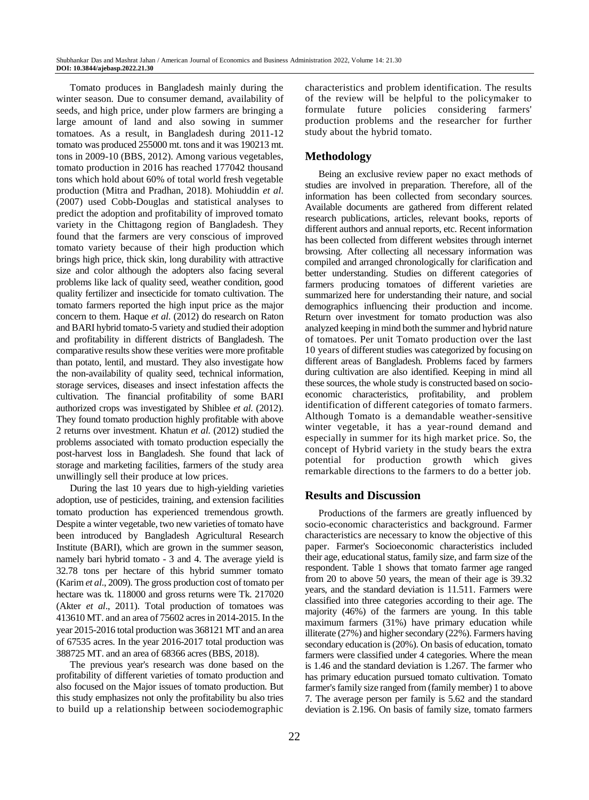Tomato produces in Bangladesh mainly during the winter season. Due to consumer demand, availability of seeds, and high price, under plow farmers are bringing a large amount of land and also sowing in summer tomatoes. As a result, in Bangladesh during 2011-12 tomato was produced 255000 mt. tons and it was 190213 mt. tons in 2009-10 (BBS, 2012). Among various vegetables, tomato production in 2016 has reached 177042 thousand tons which hold about 60% of total world fresh vegetable production (Mitra and Pradhan, 2018). Mohiuddin *et al*. (2007) used Cobb-Douglas and statistical analyses to predict the adoption and profitability of improved tomato variety in the Chittagong region of Bangladesh. They found that the farmers are very conscious of improved tomato variety because of their high production which brings high price, thick skin, long durability with attractive size and color although the adopters also facing several problems like lack of quality seed, weather condition, good quality fertilizer and insecticide for tomato cultivation. The tomato farmers reported the high input price as the major concern to them. Haque *et al*. (2012) do research on Raton and BARI hybrid tomato-5 variety and studied their adoption and profitability in different districts of Bangladesh. The comparative results show these verities were more profitable than potato, lentil, and mustard. They also investigate how the non-availability of quality seed, technical information, storage services, diseases and insect infestation affects the cultivation. The financial profitability of some BARI authorized crops was investigated by Shiblee *et al*. (2012). They found tomato production highly profitable with above 2 returns over investment. Khatun *et al*. (2012) studied the problems associated with tomato production especially the post-harvest loss in Bangladesh. She found that lack of storage and marketing facilities, farmers of the study area unwillingly sell their produce at low prices.

During the last 10 years due to high-yielding varieties adoption, use of pesticides, training, and extension facilities tomato production has experienced tremendous growth. Despite a winter vegetable, two new varieties of tomato have been introduced by Bangladesh Agricultural Research Institute (BARI), which are grown in the summer season, namely bari hybrid tomato - 3 and 4. The average yield is 32.78 tons per hectare of this hybrid summer tomato (Karim *et al*., 2009). The gross production cost of tomato per hectare was tk. 118000 and gross returns were Tk. 217020 (Akter *et al*., 2011). Total production of tomatoes was 413610 MT. and an area of 75602 acres in 2014-2015. In the year 2015-2016 total production was 368121 MT and an area of 67535 acres. In the year 2016-2017 total production was 388725 MT. and an area of 68366 acres (BBS, 2018).

The previous year's research was done based on the profitability of different varieties of tomato production and also focused on the Major issues of tomato production. But this study emphasizes not only the profitability bu also tries to build up a relationship between sociodemographic

characteristics and problem identification. The results of the review will be helpful to the policymaker to formulate future policies considering farmers' production problems and the researcher for further study about the hybrid tomato.

# **Methodology**

Being an exclusive review paper no exact methods of studies are involved in preparation. Therefore, all of the information has been collected from secondary sources. Available documents are gathered from different related research publications, articles, relevant books, reports of different authors and annual reports, etc. Recent information has been collected from different websites through internet browsing. After collecting all necessary information was compiled and arranged chronologically for clarification and better understanding. Studies on different categories of farmers producing tomatoes of different varieties are summarized here for understanding their nature, and social demographics influencing their production and income. Return over investment for tomato production was also analyzed keeping in mind both the summer and hybrid nature of tomatoes. Per unit Tomato production over the last 10 years of different studies was categorized by focusing on different areas of Bangladesh. Problems faced by farmers during cultivation are also identified. Keeping in mind all these sources, the whole study is constructed based on socioeconomic characteristics, profitability, and problem identification of different categories of tomato farmers. Although Tomato is a demandable weather-sensitive winter vegetable, it has a year-round demand and especially in summer for its high market price. So, the concept of Hybrid variety in the study bears the extra potential for production growth which gives remarkable directions to the farmers to do a better job.

# **Results and Discussion**

Productions of the farmers are greatly influenced by socio-economic characteristics and background. Farmer characteristics are necessary to know the objective of this paper. Farmer's Socioeconomic characteristics included their age, educational status, family size, and farm size of the respondent. Table 1 shows that tomato farmer age ranged from 20 to above 50 years, the mean of their age is 39.32 years, and the standard deviation is 11.511. Farmers were classified into three categories according to their age. The majority (46%) of the farmers are young. In this table maximum farmers (31%) have primary education while illiterate (27%) and higher secondary (22%). Farmers having secondary education is (20%). On basis of education, tomato farmers were classified under 4 categories. Where the mean is 1.46 and the standard deviation is 1.267. The farmer who has primary education pursued tomato cultivation. Tomato farmer's family size ranged from (family member) 1 to above 7. The average person per family is 5.62 and the standard deviation is 2.196. On basis of family size, tomato farmers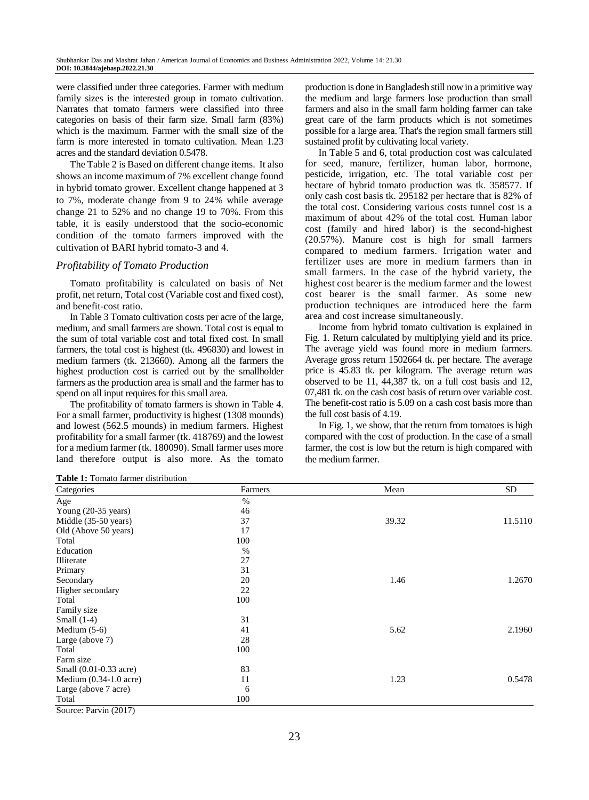were classified under three categories. Farmer with medium family sizes is the interested group in tomato cultivation. Narrates that tomato farmers were classified into three categories on basis of their farm size. Small farm (83%) which is the maximum. Farmer with the small size of the farm is more interested in tomato cultivation. Mean 1.23 acres and the standard deviation 0.5478.

The Table 2 is Based on different change items. It also shows an income maximum of 7% excellent change found in hybrid tomato grower. Excellent change happened at 3 to 7%, moderate change from 9 to 24% while average change 21 to 52% and no change 19 to 70%. From this table, it is easily understood that the socio-economic condition of the tomato farmers improved with the cultivation of BARI hybrid tomato-3 and 4.

#### *Profitability of Tomato Production*

Tomato profitability is calculated on basis of Net profit, net return, Total cost (Variable cost and fixed cost), and benefit-cost ratio.

In Table 3 Tomato cultivation costs per acre of the large, medium, and small farmers are shown. Total cost is equal to the sum of total variable cost and total fixed cost. In small farmers, the total cost is highest (tk. 496830) and lowest in medium farmers (tk. 213660). Among all the farmers the highest production cost is carried out by the smallholder farmers as the production area is small and the farmer has to spend on all input requires for this small area.

The profitability of tomato farmers is shown in Table 4. For a small farmer, productivity is highest (1308 mounds) and lowest (562.5 mounds) in medium farmers. Highest profitability for a small farmer (tk. 418769) and the lowest for a medium farmer (tk. 180090). Small farmer uses more land therefore output is also more. As the tomato production is done in Bangladesh still now in a primitive way the medium and large farmers lose production than small farmers and also in the small farm holding farmer can take great care of the farm products which is not sometimes possible for a large area. That's the region small farmers still sustained profit by cultivating local variety.

In Table 5 and 6, total production cost was calculated for seed, manure, fertilizer, human labor, hormone, pesticide, irrigation, etc. The total variable cost per hectare of hybrid tomato production was tk. 358577. If only cash cost basis tk. 295182 per hectare that is 82% of the total cost. Considering various costs tunnel cost is a maximum of about 42% of the total cost. Human labor cost (family and hired labor) is the second-highest (20.57%). Manure cost is high for small farmers compared to medium farmers. Irrigation water and fertilizer uses are more in medium farmers than in small farmers. In the case of the hybrid variety, the highest cost bearer is the medium farmer and the lowest cost bearer is the small farmer. As some new production techniques are introduced here the farm area and cost increase simultaneously.

Income from hybrid tomato cultivation is explained in Fig. 1. Return calculated by multiplying yield and its price. The average yield was found more in medium farmers. Average gross return 1502664 tk. per hectare. The average price is 45.83 tk. per kilogram. The average return was observed to be 11, 44,387 tk. on a full cost basis and 12, 07,481 tk. on the cash cost basis of return over variable cost. The benefit-cost ratio is 5.09 on a cash cost basis more than the full cost basis of 4.19.

In Fig. 1, we show, that the return from tomatoes is high compared with the cost of production. In the case of a small farmer, the cost is low but the return is high compared with the medium farmer.

**Table 1:** Tomato farmer distribution

| Categories             | Farmers | Mean  | <b>SD</b> |
|------------------------|---------|-------|-----------|
| Age                    | $\%$    |       |           |
| Young (20-35 years)    | 46      |       |           |
| Middle (35-50 years)   | 37      | 39.32 | 11.5110   |
| Old (Above 50 years)   | 17      |       |           |
| Total                  | 100     |       |           |
| Education              | $\%$    |       |           |
| Illiterate             | 27      |       |           |
| Primary                | 31      |       |           |
| Secondary              | 20      | 1.46  | 1.2670    |
| Higher secondary       | 22      |       |           |
| Total                  | 100     |       |           |
| Family size            |         |       |           |
| Small $(1-4)$          | 31      |       |           |
| Medium $(5-6)$         | 41      | 5.62  | 2.1960    |
| Large (above 7)        | 28      |       |           |
| Total                  | 100     |       |           |
| Farm size              |         |       |           |
| Small (0.01-0.33 acre) | 83      |       |           |
| Medium (0.34-1.0 acre) | 11      | 1.23  | 0.5478    |
| Large (above 7 acre)   | 6       |       |           |
| Total                  | 100     |       |           |

Source: Parvin (2017)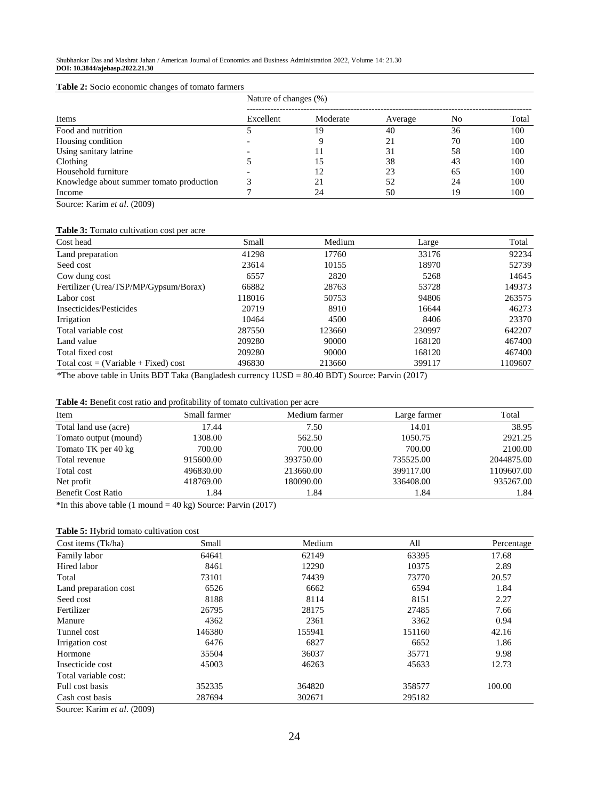#### **Table 2:** Socio economic changes of tomato farmers

|                                          | Nature of changes (%) |          |         |    |       |
|------------------------------------------|-----------------------|----------|---------|----|-------|
| Items                                    | Excellent             | Moderate | Average | No | Total |
| Food and nutrition                       |                       | 19       | 40      | 36 | 100   |
| Housing condition                        |                       |          | 21      | 70 | 100   |
| Using sanitary latrine                   |                       |          | 31      | 58 | 100   |
| Clothing                                 |                       | 15       | 38      | 43 | 100   |
| Household furniture                      |                       | 12       | 23      | 65 | 100   |
| Knowledge about summer tomato production |                       |          | 52      | 24 | 100   |
| Income                                   |                       | 24       | 50      | 19 | 100   |

Source: Karim *et al*. (2009)

# **Table 3:** Tomato cultivation cost per acre

| Cost head                              | Small  | Medium | Large  | Total   |
|----------------------------------------|--------|--------|--------|---------|
| Land preparation                       | 41298  | 17760  | 33176  | 92234   |
| Seed cost                              | 23614  | 10155  | 18970  | 52739   |
| Cow dung cost                          | 6557   | 2820   | 5268   | 14645   |
| Fertilizer (Urea/TSP/MP/Gypsum/Borax)  | 66882  | 28763  | 53728  | 149373  |
| Labor cost                             | 118016 | 50753  | 94806  | 263575  |
| Insecticides/Pesticides                | 20719  | 8910   | 16644  | 46273   |
| Irrigation                             | 10464  | 4500   | 8406   | 23370   |
| Total variable cost                    | 287550 | 123660 | 230997 | 642207  |
| Land value                             | 209280 | 90000  | 168120 | 467400  |
| Total fixed cost                       | 209280 | 90000  | 168120 | 467400  |
| Total cost = $(Variable + Fixed) cost$ | 496830 | 213660 | 399117 | 1109607 |

\*The above table in Units BDT Taka (Bangladesh currency 1USD = 80.40 BDT) Source: Parvin (2017)

| Item                      | Small farmer | Medium farmer | Large farmer | Total      |
|---------------------------|--------------|---------------|--------------|------------|
| Total land use (acre)     | 17.44        | 7.50          | 14.01        | 38.95      |
| Tomato output (mound)     | 1308.00      | 562.50        | 1050.75      | 2921.25    |
| Tomato TK per 40 kg       | 700.00       | 700.00        | 700.00       | 2100.00    |
| Total revenue             | 915600.00    | 393750.00     | 735525.00    | 2044875.00 |
| Total cost                | 496830.00    | 213660.00     | 399117.00    | 1109607.00 |
| Net profit                | 418769.00    | 180090.00     | 336408.00    | 935267.00  |
| <b>Benefit Cost Ratio</b> | 1.84         | 1.84          | 1.84         | 1.84       |

 $*$ In this above table (1 mound = 40 kg) Source: Parvin (2017)

## **Table 5:** Hybrid tomato cultivation cost

| Cost items (Tk/ha)                                       | Small  | Medium | All    | Percentage |
|----------------------------------------------------------|--------|--------|--------|------------|
| Family labor                                             | 64641  | 62149  | 63395  | 17.68      |
| Hired labor                                              | 8461   | 12290  | 10375  | 2.89       |
| Total                                                    | 73101  | 74439  | 73770  | 20.57      |
| Land preparation cost                                    | 6526   | 6662   | 6594   | 1.84       |
| Seed cost                                                | 8188   | 8114   | 8151   | 2.27       |
| Fertilizer                                               | 26795  | 28175  | 27485  | 7.66       |
| Manure                                                   | 4362   | 2361   | 3362   | 0.94       |
| Tunnel cost                                              | 146380 | 155941 | 151160 | 42.16      |
| Irrigation cost                                          | 6476   | 6827   | 6652   | 1.86       |
| Hormone                                                  | 35504  | 36037  | 35771  | 9.98       |
| Insecticide cost                                         | 45003  | 46263  | 45633  | 12.73      |
| Total variable cost:                                     |        |        |        |            |
| Full cost basis                                          | 352335 | 364820 | 358577 | 100.00     |
| Cash cost basis<br>$   -$<br>$\sim$ $\sim$ $\sim$ $\sim$ | 287694 | 302671 | 295182 |            |

Source: Karim *et al*. (2009)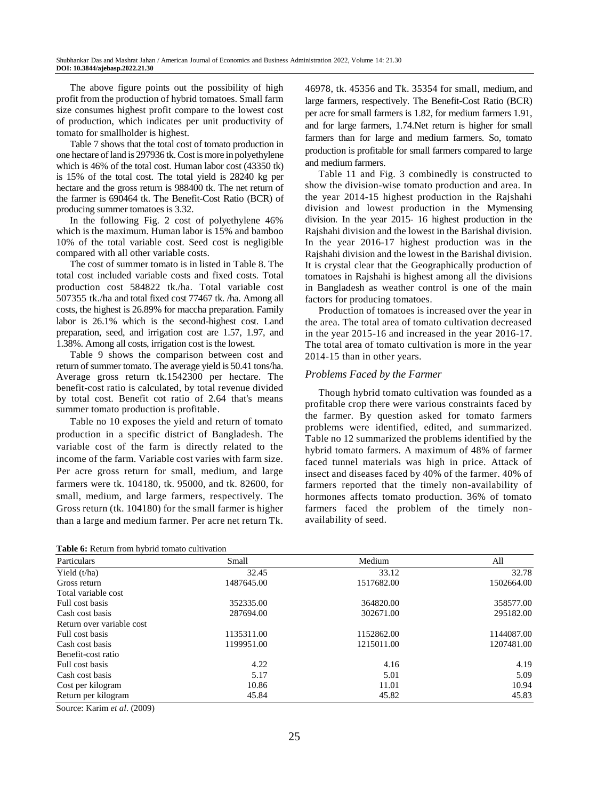The above figure points out the possibility of high profit from the production of hybrid tomatoes. Small farm size consumes highest profit compare to the lowest cost of production, which indicates per unit productivity of tomato for smallholder is highest.

Table 7 shows that the total cost of tomato production in one hectare of land is 297936 tk. Cost is more in polyethylene which is 46% of the total cost. Human labor cost (43350 tk) is 15% of the total cost. The total yield is 28240 kg per hectare and the gross return is 988400 tk. The net return of the farmer is 690464 tk. The Benefit-Cost Ratio (BCR) of producing summer tomatoes is 3.32.

In the following Fig. 2 cost of polyethylene 46% which is the maximum. Human labor is 15% and bamboo 10% of the total variable cost. Seed cost is negligible compared with all other variable costs.

The cost of summer tomato is in listed in Table 8. The total cost included variable costs and fixed costs. Total production cost 584822 tk./ha. Total variable cost 507355 tk./ha and total fixed cost 77467 tk. /ha. Among all costs, the highest is 26.89% for maccha preparation. Family labor is 26.1% which is the second-highest cost. Land preparation, seed, and irrigation cost are 1.57, 1.97, and 1.38%. Among all costs, irrigation cost is the lowest.

Table 9 shows the comparison between cost and return of summer tomato. The average yield is 50.41 tons/ha. Average gross return tk.1542300 per hectare. The benefit-cost ratio is calculated, by total revenue divided by total cost. Benefit cot ratio of 2.64 that's means summer tomato production is profitable.

Table no 10 exposes the yield and return of tomato production in a specific district of Bangladesh. The variable cost of the farm is directly related to the income of the farm. Variable cost varies with farm size. Per acre gross return for small, medium, and large farmers were tk. 104180, tk. 95000, and tk. 82600, for small, medium, and large farmers, respectively. The Gross return (tk. 104180) for the small farmer is higher than a large and medium farmer. Per acre net return Tk.

|  |  | <b>Table 6:</b> Return from hybrid tomato cultivation |
|--|--|-------------------------------------------------------|
|--|--|-------------------------------------------------------|

46978, tk. 45356 and Tk. 35354 for small, medium, and large farmers, respectively. The Benefit-Cost Ratio (BCR) per acre for small farmers is 1.82, for medium farmers 1.91, and for large farmers, 1.74.Net return is higher for small farmers than for large and medium farmers. So, tomato production is profitable for small farmers compared to large and medium farmers.

Table 11 and Fig. 3 combinedly is constructed to show the division-wise tomato production and area. In the year 2014-15 highest production in the Rajshahi division and lowest production in the Mymensing division. In the year 2015- 16 highest production in the Rajshahi division and the lowest in the Barishal division. In the year 2016-17 highest production was in the Rajshahi division and the lowest in the Barishal division. It is crystal clear that the Geographically production of tomatoes in Rajshahi is highest among all the divisions in Bangladesh as weather control is one of the main factors for producing tomatoes.

Production of tomatoes is increased over the year in the area. The total area of tomato cultivation decreased in the year 2015-16 and increased in the year 2016-17. The total area of tomato cultivation is more in the year 2014-15 than in other years.

#### *Problems Faced by the Farmer*

Though hybrid tomato cultivation was founded as a profitable crop there were various constraints faced by the farmer. By question asked for tomato farmers problems were identified, edited, and summarized. Table no 12 summarized the problems identified by the hybrid tomato farmers. A maximum of 48% of farmer faced tunnel materials was high in price. Attack of insect and diseases faced by 40% of the farmer. 40% of farmers reported that the timely non-availability of hormones affects tomato production. 36% of tomato farmers faced the problem of the timely nonavailability of seed.

| Particulars               | Small      | Medium     | All        |
|---------------------------|------------|------------|------------|
| Yield $(t/ha)$            | 32.45      | 33.12      | 32.78      |
| Gross return              | 1487645.00 | 1517682.00 | 1502664.00 |
| Total variable cost       |            |            |            |
| Full cost basis           | 352335.00  | 364820.00  | 358577.00  |
| Cash cost basis           | 287694.00  | 302671.00  | 295182.00  |
| Return over variable cost |            |            |            |
| Full cost basis           | 1135311.00 | 1152862.00 | 1144087.00 |
| Cash cost basis           | 1199951.00 | 1215011.00 | 1207481.00 |
| Benefit-cost ratio        |            |            |            |
| Full cost basis           | 4.22       | 4.16       | 4.19       |
| Cash cost basis           | 5.17       | 5.01       | 5.09       |
| Cost per kilogram         | 10.86      | 11.01      | 10.94      |
| Return per kilogram       | 45.84      | 45.82      | 45.83      |

Source: Karim *et al*. (2009)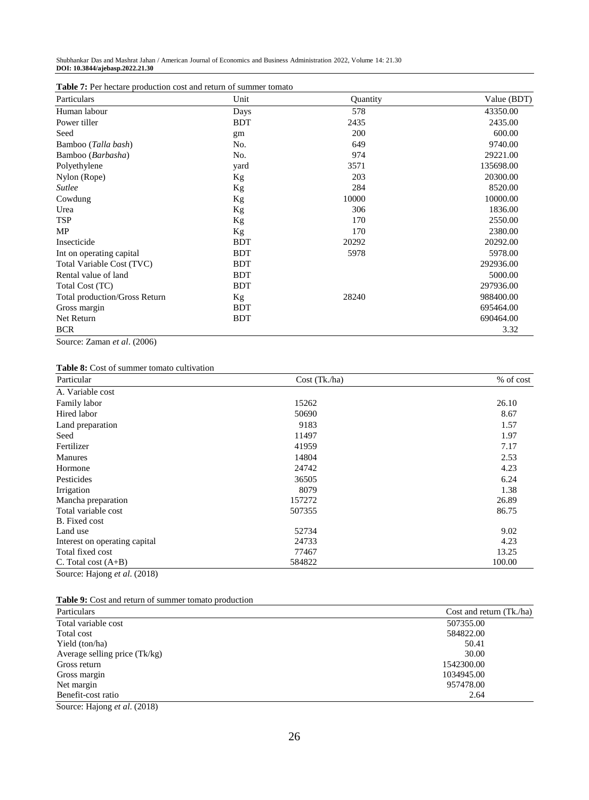Shubhankar Das and Mashrat Jahan / American Journal of Economics and Business Administration 2022, Volume 14: 21.30 **DOI: 10.3844/ajebasp.2022.21.30**

|  | <b>Table 7:</b> Per hectare production cost and return of summer tomato |  |
|--|-------------------------------------------------------------------------|--|
|--|-------------------------------------------------------------------------|--|

| Particulars                          | Unit       | <b>Quantity</b> | Value (BDT) |
|--------------------------------------|------------|-----------------|-------------|
| Human labour                         | Days       | 578             | 43350.00    |
| Power tiller                         | <b>BDT</b> | 2435            | 2435.00     |
| Seed                                 | gm         | 200             | 600.00      |
| Bamboo (Talla bash)                  | No.        | 649             | 9740.00     |
| Bamboo ( <i>Barbasha</i> )           | No.        | 974             | 29221.00    |
| Polyethylene                         | yard       | 3571            | 135698.00   |
| Nylon (Rope)                         | Кg         | 203             | 20300.00    |
| <b>Sutlee</b>                        | Kg         | 284             | 8520.00     |
| Cowdung                              | Kg         | 10000           | 10000.00    |
| Urea                                 | Кg         | 306             | 1836.00     |
| <b>TSP</b>                           | Kg         | 170             | 2550.00     |
| <b>MP</b>                            | Kg         | 170             | 2380.00     |
| Insecticide                          | <b>BDT</b> | 20292           | 20292.00    |
| Int on operating capital             | <b>BDT</b> | 5978            | 5978.00     |
| Total Variable Cost (TVC)            | <b>BDT</b> |                 | 292936.00   |
| Rental value of land                 | <b>BDT</b> |                 | 5000.00     |
| Total Cost (TC)                      | <b>BDT</b> |                 | 297936.00   |
| <b>Total production/Gross Return</b> | Kg         | 28240           | 988400.00   |
| Gross margin                         | <b>BDT</b> |                 | 695464.00   |
| Net Return                           | <b>BDT</b> |                 | 690464.00   |
| <b>BCR</b>                           |            |                 | 3.32        |

Source: Zaman *et al*. (2006)

**Table 8:** Cost of summer tomato cultivation

| Particular                    | Cost (Tk.ha) | % of cost |
|-------------------------------|--------------|-----------|
| A. Variable cost              |              |           |
| Family labor                  | 15262        | 26.10     |
| Hired labor                   | 50690        | 8.67      |
| Land preparation              | 9183         | 1.57      |
| Seed                          | 11497        | 1.97      |
| Fertilizer                    | 41959        | 7.17      |
| <b>Manures</b>                | 14804        | 2.53      |
| Hormone                       | 24742        | 4.23      |
| Pesticides                    | 36505        | 6.24      |
| Irrigation                    | 8079         | 1.38      |
| Mancha preparation            | 157272       | 26.89     |
| Total variable cost           | 507355       | 86.75     |
| B. Fixed cost                 |              |           |
| Land use                      | 52734        | 9.02      |
| Interest on operating capital | 24733        | 4.23      |
| Total fixed cost              | 77467        | 13.25     |
| C. Total cost $(A+B)$         | 584822       | 100.00    |
| Source: Hajong et al. (2018)  |              |           |

**Table 9:** Cost and return of summer tomato production

| Particulars                                                       | Cost and return (Tk./ha) |
|-------------------------------------------------------------------|--------------------------|
| Total variable cost                                               | 507355.00                |
| Total cost                                                        | 584822.00                |
| Yield (ton/ha)                                                    | 50.41                    |
| Average selling price (Tk/kg)                                     | 30.00                    |
| Gross return                                                      | 1542300.00               |
| Gross margin                                                      | 1034945.00               |
| Net margin                                                        | 957478.00                |
| Benefit-cost ratio                                                | 2.64                     |
| $\sim$ $\sim$ $\sim$ $\sim$ $\sim$<br>$\sim$ $\sim$ $\sim$ $\sim$ |                          |

Source: Hajong *et al*. (2018)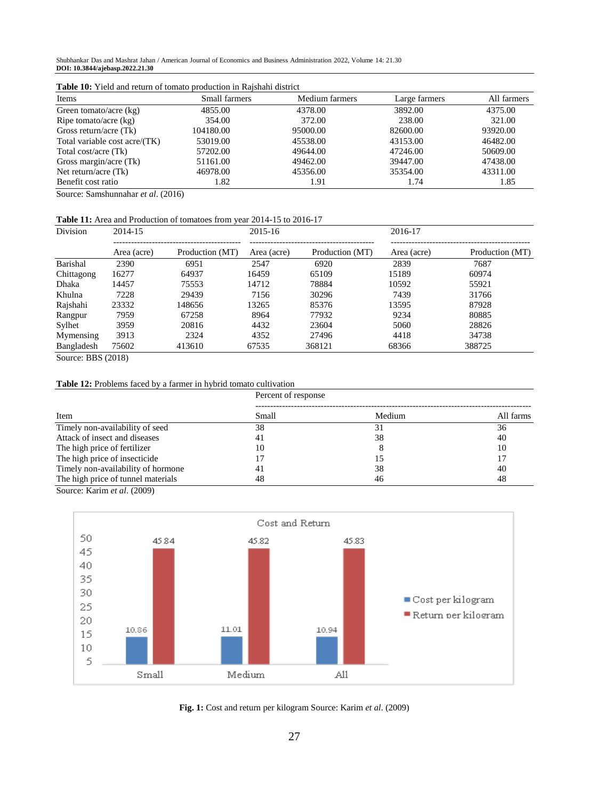Shubhankar Das and Mashrat Jahan / American Journal of Economics and Business Administration 2022, Volume 14: 21.30 **DOI: 10.3844/ajebasp.2022.21.30**

| <b>Table To:</b> Tield and feurli of tomato production in Kaisham district |               |                |               |             |  |  |  |  |
|----------------------------------------------------------------------------|---------------|----------------|---------------|-------------|--|--|--|--|
| Items                                                                      | Small farmers | Medium farmers | Large farmers | All farmers |  |  |  |  |
| Green tomato/acre $(kg)$                                                   | 4855.00       | 4378.00        | 3892.00       | 4375.00     |  |  |  |  |
| Ripe tomato/acre (kg)                                                      | 354.00        | 372.00         | 238.00        | 321.00      |  |  |  |  |
| Gross return/acre $(Tk)$                                                   | 104180.00     | 95000.00       | 82600.00      | 93920.00    |  |  |  |  |
| Total variable cost acre/(TK)                                              | 53019.00      | 45538.00       | 43153.00      | 46482.00    |  |  |  |  |
| Total cost/acre (Tk)                                                       | 57202.00      | 49644.00       | 47246.00      | 50609.00    |  |  |  |  |
| Gross margin/acre (Tk)                                                     | 51161.00      | 49462.00       | 39447.00      | 47438.00    |  |  |  |  |
| Net return/acre $(Tk)$                                                     | 46978.00      | 45356.00       | 35354.00      | 43311.00    |  |  |  |  |
| Benefit cost ratio                                                         | 1.82          | 1.91           | 1.74          | 1.85        |  |  |  |  |
|                                                                            |               |                |               |             |  |  |  |  |

**Table 10:** Yield and return of tomato production in Rajshahi district

Source: Samshunnahar *et al*. (2016)

#### **Table 11:** Area and Production of tomatoes from year 2014-15 to 2016-17

| Division             | 2014-15                                                                                                                                                                                                                                                                                                                                     |                 | 2015-16     |                 | 2016-17     |                 |
|----------------------|---------------------------------------------------------------------------------------------------------------------------------------------------------------------------------------------------------------------------------------------------------------------------------------------------------------------------------------------|-----------------|-------------|-----------------|-------------|-----------------|
|                      | Area (acre)                                                                                                                                                                                                                                                                                                                                 | Production (MT) | Area (acre) | Production (MT) | Area (acre) | Production (MT) |
| Barishal             | 2390                                                                                                                                                                                                                                                                                                                                        | 6951            | 2547        | 6920            | 2839        | 7687            |
| Chittagong           | 16277                                                                                                                                                                                                                                                                                                                                       | 64937           | 16459       | 65109           | 15189       | 60974           |
| Dhaka                | 14457                                                                                                                                                                                                                                                                                                                                       | 75553           | 14712       | 78884           | 10592       | 55921           |
| Khulna               | 7228                                                                                                                                                                                                                                                                                                                                        | 29439           | 7156        | 30296           | 7439        | 31766           |
| Rajshahi             | 23332                                                                                                                                                                                                                                                                                                                                       | 148656          | 13265       | 85376           | 13595       | 87928           |
| Rangpur              | 7959                                                                                                                                                                                                                                                                                                                                        | 67258           | 8964        | 77932           | 9234        | 80885           |
| Sylhet               | 3959                                                                                                                                                                                                                                                                                                                                        | 20816           | 4432        | 23604           | 5060        | 28826           |
| Mymensing            | 3913                                                                                                                                                                                                                                                                                                                                        | 2324            | 4352        | 27496           | 4418        | 34738           |
| Bangladesh<br>$\sim$ | 75602<br>$\mathbf{r}$ $\mathbf{r}$ $\mathbf{r}$ $\mathbf{r}$ $\mathbf{r}$ $\mathbf{r}$ $\mathbf{r}$ $\mathbf{r}$ $\mathbf{r}$ $\mathbf{r}$ $\mathbf{r}$ $\mathbf{r}$ $\mathbf{r}$ $\mathbf{r}$ $\mathbf{r}$ $\mathbf{r}$ $\mathbf{r}$ $\mathbf{r}$ $\mathbf{r}$ $\mathbf{r}$ $\mathbf{r}$ $\mathbf{r}$ $\mathbf{r}$ $\mathbf{r}$ $\mathbf{$ | 413610          | 67535       | 368121          | 68366       | 388725          |

Source: BBS (2018)

#### **Table 12:** Problems faced by a farmer in hybrid tomato cultivation

|                                    | Percent of response |        |           |  |  |
|------------------------------------|---------------------|--------|-----------|--|--|
| Item                               | Small               | Medium | All farms |  |  |
| Timely non-availability of seed    | 38                  | 31     | 36        |  |  |
| Attack of insect and diseases      | 41                  | 38     | 40        |  |  |
| The high price of fertilizer       | 10                  |        | 10        |  |  |
| The high price of insecticide      |                     |        | 17        |  |  |
| Timely non-availability of hormone | 41                  | 38     | 40        |  |  |
| The high price of tunnel materials | 48                  | 46     | 48        |  |  |

Source: Karim *et al*. (2009)



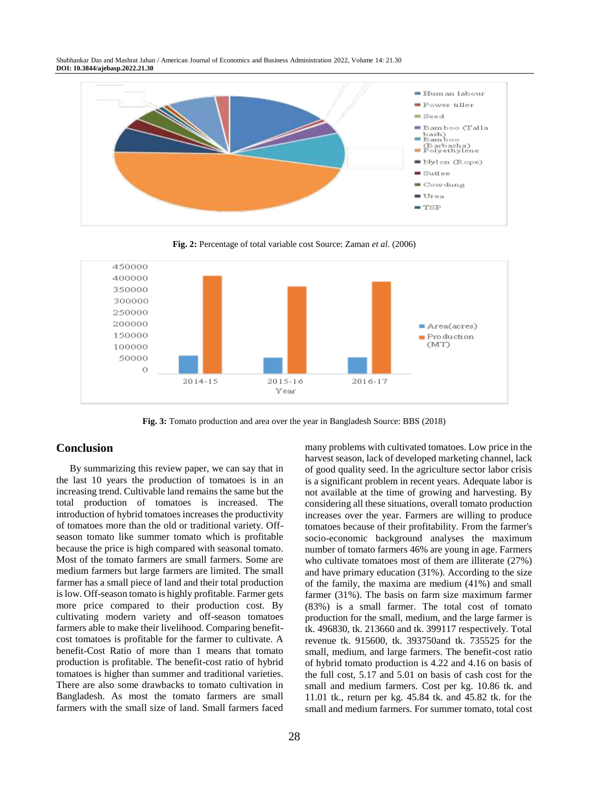Shubhankar Das and Mashrat Jahan / American Journal of Economics and Business Administration 2022, Volume 14: 21.30 **DOI: 10.3844/ajebasp.2022.21.30**



**Fig. 2:** Percentage of total variable cost Source: Zaman *et al*. (2006)



**Fig. 3:** Tomato production and area over the year in Bangladesh Source: BBS (2018)

## **Conclusion**

By summarizing this review paper, we can say that in the last 10 years the production of tomatoes is in an increasing trend. Cultivable land remains the same but the total production of tomatoes is increased. The introduction of hybrid tomatoes increases the productivity of tomatoes more than the old or traditional variety. Offseason tomato like summer tomato which is profitable because the price is high compared with seasonal tomato. Most of the tomato farmers are small farmers. Some are medium farmers but large farmers are limited. The small farmer has a small piece of land and their total production is low. Off-season tomato is highly profitable. Farmer gets more price compared to their production cost. By cultivating modern variety and off-season tomatoes farmers able to make their livelihood. Comparing benefitcost tomatoes is profitable for the farmer to cultivate. A benefit-Cost Ratio of more than 1 means that tomato production is profitable. The benefit-cost ratio of hybrid tomatoes is higher than summer and traditional varieties. There are also some drawbacks to tomato cultivation in Bangladesh. As most the tomato farmers are small farmers with the small size of land. Small farmers faced many problems with cultivated tomatoes. Low price in the harvest season, lack of developed marketing channel, lack of good quality seed. In the agriculture sector labor crisis is a significant problem in recent years. Adequate labor is not available at the time of growing and harvesting. By considering all these situations, overall tomato production increases over the year. Farmers are willing to produce tomatoes because of their profitability. From the farmer's socio-economic background analyses the maximum number of tomato farmers 46% are young in age. Farmers who cultivate tomatoes most of them are illiterate  $(27%)$ and have primary education (31%). According to the size of the family, the maxima are medium (41%) and small farmer (31%). The basis on farm size maximum farmer (83%) is a small farmer. The total cost of tomato production for the small, medium, and the large farmer is tk. 496830, tk. 213660 and tk. 399117 respectively. Total revenue tk. 915600, tk. 393750and tk. 735525 for the small, medium, and large farmers. The benefit-cost ratio of hybrid tomato production is 4.22 and 4.16 on basis of the full cost, 5.17 and 5.01 on basis of cash cost for the small and medium farmers. Cost per kg. 10.86 tk. and 11.01 tk., return per kg. 45.84 tk. and 45.82 tk. for the small and medium farmers. For summer tomato, total cost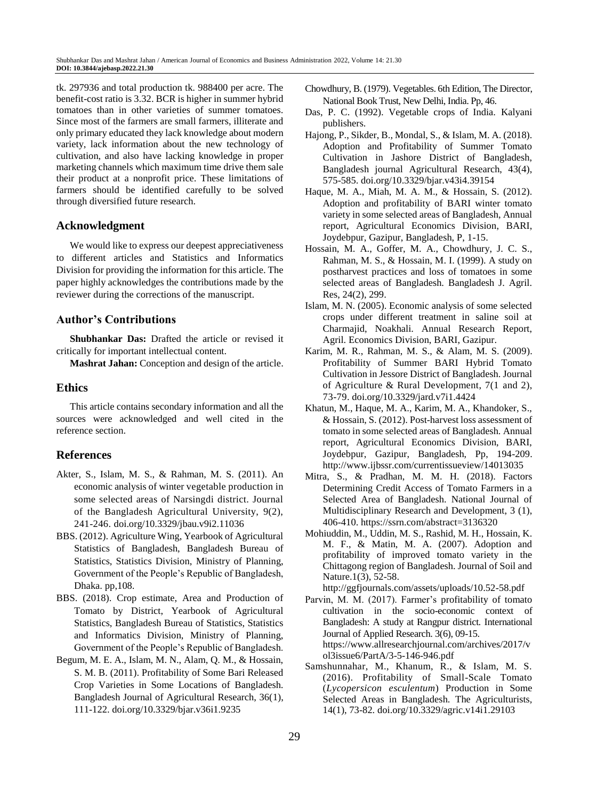tk. 297936 and total production tk. 988400 per acre. The benefit-cost ratio is 3.32. BCR is higher in summer hybrid tomatoes than in other varieties of summer tomatoes. Since most of the farmers are small farmers, illiterate and only primary educated they lack knowledge about modern variety, lack information about the new technology of cultivation, and also have lacking knowledge in proper marketing channels which maximum time drive them sale their product at a nonprofit price. These limitations of farmers should be identified carefully to be solved through diversified future research.

# **Acknowledgment**

We would like to express our deepest appreciativeness to different articles and Statistics and Informatics Division for providing the information for this article. The paper highly acknowledges the contributions made by the reviewer during the corrections of the manuscript.

# **Author's Contributions**

**Shubhankar Das:** Drafted the article or revised it critically for important intellectual content.

**Mashrat Jahan:** Conception and design of the article.

# **Ethics**

This article contains secondary information and all the sources were acknowledged and well cited in the reference section.

# **References**

- Akter, S., Islam, M. S., & Rahman, M. S. (2011). An economic analysis of winter vegetable production in some selected areas of Narsingdi district. Journal of the Bangladesh Agricultural University, 9(2), 241-246. [doi.org/10.3329/jbau.v9i2.11036](http://dx.doi.org/10.3329/jbau.v9i2.11036)
- BBS. (2012). Agriculture Wing, Yearbook of Agricultural Statistics of Bangladesh, Bangladesh Bureau of Statistics, Statistics Division, Ministry of Planning, Government of the People's Republic of Bangladesh, Dhaka. pp,108.
- BBS. (2018). Crop estimate, Area and Production of Tomato by District, Yearbook of Agricultural Statistics, Bangladesh Bureau of Statistics, Statistics and Informatics Division, Ministry of Planning, Government of the People's Republic of Bangladesh.
- Begum, M. E. A., Islam, M. N., Alam, Q. M., & Hossain, S. M. B. (2011). Profitability of Some Bari Released Crop Varieties in Some Locations of Bangladesh*.*  Bangladesh Journal of Agricultural Research, 36(1), 111-122. [doi.org/10.3329/bjar.v36i1.9235](https://doi.org/10.3329/bjar.v36i1.9235)
- Chowdhury, B. (1979). Vegetables. 6th Edition, The Director, National Book Trust, New Delhi, India. Pp, 46.
- Das, P. C. (1992). Vegetable crops of India. Kalyani publishers.
- Hajong, P., Sikder, B., Mondal, S., & Islam, M. A. (2018). Adoption and Profitability of Summer Tomato Cultivation in Jashore District of Bangladesh, Bangladesh journal Agricultural Research, 43(4), 575-585[. doi.org/10.3329/bjar.v43i4.39154](https://doi.org/10.3329/bjar.v43i4.39154)
- Haque, M. A., Miah, M. A. M., & Hossain, S. (2012). Adoption and profitability of BARI winter tomato variety in some selected areas of Bangladesh, Annual report, Agricultural Economics Division, BARI, Joydebpur, Gazipur, Bangladesh, P, 1-15.
- Hossain, M. A., Goffer, M. A., Chowdhury, J. C. S., Rahman, M. S., & Hossain, M. I. (1999). A study on postharvest practices and loss of tomatoes in some selected areas of Bangladesh. Bangladesh J. Agril. Res, 24(2), 299.
- Islam, M. N. (2005). Economic analysis of some selected crops under different treatment in saline soil at Charmajid, Noakhali. Annual Research Report, Agril. Economics Division, BARI, Gazipur.
- Karim, M. R., Rahman, M. S., & Alam, M. S. (2009). Profitability of Summer BARI Hybrid Tomato Cultivation in Jessore District of Bangladesh. Journal of Agriculture & Rural Development, 7(1 and 2), 73-79[. doi.org/10.3329/jard.v7i1.4424](https://doi.org/10.3329/jard.v7i1.4424)
- Khatun, M., Haque, M. A., Karim, M. A., Khandoker, S., & Hossain, S. (2012). Post-harvest loss assessment of tomato in some selected areas of Bangladesh. Annual report, Agricultural Economics Division, BARI, Joydebpur, Gazipur, Bangladesh, Pp, 194-209. <http://www.ijbssr.com/currentissueview/14013035>
- Mitra, S., & Pradhan, M. M. H. (2018). Factors Determining Credit Access of Tomato Farmers in a Selected Area of Bangladesh. National Journal of Multidisciplinary Research and Development, 3 (1), 406-410. <https://ssrn.com/abstract=3136320>
- Mohiuddin, M., Uddin, M. S., Rashid, M. H., Hossain, K. M. F., & Matin, M. A. (2007). Adoption and profitability of improved tomato variety in the Chittagong region of Bangladesh. Journal of Soil and Nature.1(3), 52-58.

<http://ggfjournals.com/assets/uploads/10.52-58.pdf>

- Parvin, M. M. (2017). Farmer's profitability of tomato cultivation in the socio-economic context of Bangladesh: A study at Rangpur district*.* International Journal of Applied Research. 3(6), 09-15. [https://www.allresearchjournal.com/archives/2017/v](https://www.allresearchjournal.com/archives/2017/vol3issue6/PartA/3-5-146-946.pdf) [ol3issue6/PartA/3-5-146-946.pdf](https://www.allresearchjournal.com/archives/2017/vol3issue6/PartA/3-5-146-946.pdf)
- Samshunnahar, M., Khanum, R., & Islam, M. S. (2016). Profitability of Small-Scale Tomato (*Lycopersicon esculentum*) Production in Some Selected Areas in Bangladesh. The Agriculturists*,*  14(1), 73-82. [doi.org/10.3329/agric.v14i1.29103](https://doi.org/10.3329/agric.v14i1.29103)